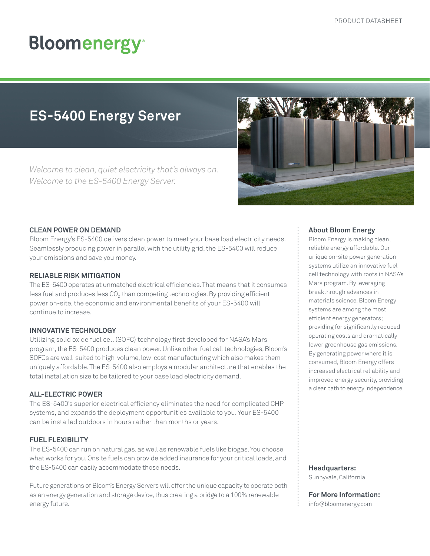# **Bloomenergy**

### **ES-5400 Energy Server**

*Welcome to clean, quiet electricity that's always on. Welcome to the ES-5400 Energy Server.*



#### **CLEAN POWER ON DEMAND**

Bloom Energy's ES-5400 delivers clean power to meet your base load electricity needs. Seamlessly producing power in parallel with the utility grid, the ES-5400 will reduce your emissions and save you money.

#### **RELIABLE RISK MITIGATION**

The ES-5400 operates at unmatched electrical efficiencies. That means that it consumes less fuel and produces less  $CO<sub>2</sub>$  than competing technologies. By providing efficient power on-site, the economic and environmental benefits of your ES-5400 will continue to increase.

#### **INNOVATIVE TECHNOLOGY**

Utilizing solid oxide fuel cell (SOFC) technology first developed for NASA's Mars program, the ES-5400 produces clean power. Unlike other fuel cell technologies, Bloom's SOFCs are well-suited to high-volume, low-cost manufacturing which also makes them uniquely affordable. The ES-5400 also employs a modular architecture that enables the total installation size to be tailored to your base load electricity demand.

#### **ALL-ELECTRIC POWER**

The ES-5400's superior electrical efficiency eliminates the need for complicated CHP systems, and expands the deployment opportunities available to you. Your ES-5400 can be installed outdoors in hours rather than months or years.

#### **FUEL FLEXIBILITY**

The ES-5400 can run on natural gas, as well as renewable fuels like biogas. You choose what works for you. Onsite fuels can provide added insurance for your critical loads, and the ES-5400 can easily accommodate those needs.

Future generations of Bloom's Energy Servers will offer the unique capacity to operate both as an energy generation and storage device, thus creating a bridge to a 100% renewable energy future.

#### **About Bloom Energy**

Bloom Energy is making clean, reliable energy affordable. Our unique on-site power generation systems utilize an innovative fuel cell technology with roots in NASA's Mars program. By leveraging breakthrough advances in materials science, Bloom Energy systems are among the most efficient energy generators; providing for significantly reduced operating costs and dramatically lower greenhouse gas emissions. By generating power where it is consumed, Bloom Energy offers increased electrical reliability and improved energy security, providing a clear path to energy independence.

**Headquarters:** Sunnyvale, California

**For More Information:** info@bloomenergy.com